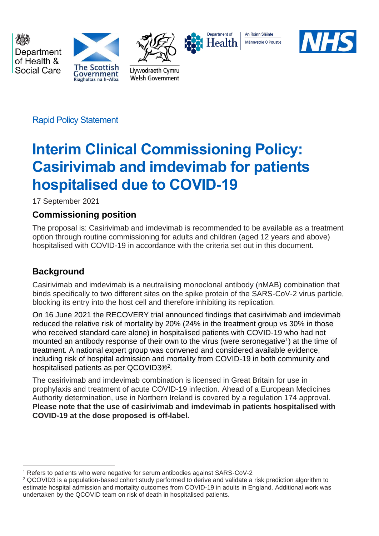Department of Health & Social Care





Llywodraeth Cymru

Welsh Government



An Roinn Sláinte Männystrie O Poustie



Rapid Policy Statement

# **Interim Clinical Commissioning Policy: Casirivimab and imdevimab for patients hospitalised due to COVID-19**

17 September 2021

# **Commissioning position**

The proposal is: Casirivimab and imdevimab is recommended to be available as a treatment option through routine commissioning for adults and children (aged 12 years and above) hospitalised with COVID-19 in accordance with the criteria set out in this document.

# **Background**

Casirivimab and imdevimab is a neutralising monoclonal antibody (nMAB) combination that binds specifically to two different sites on the spike protein of the SARS-CoV-2 virus particle, blocking its entry into the host cell and therefore inhibiting its replication.

On 16 June 2021 the RECOVERY trial announced findings that casirivimab and imdevimab reduced the relative risk of mortality by 20% (24% in the treatment group vs 30% in those who received standard care alone) in hospitalised patients with COVID-19 who had not mounted an antibody response of their own to the virus (were seronegative<sup>1</sup>) at the time of treatment. A national expert group was convened and considered available evidence, including risk of hospital admission and mortality from COVID-19 in both community and hospitalised patients as per QCOVID3<sup>®2</sup>.

The casirivimab and imdevimab combination is licensed in Great Britain for use in prophylaxis and treatment of acute COVID-19 infection. Ahead of a European Medicines Authority determination, use in Northern Ireland is covered by a regulation 174 approval. **Please note that the use of casirivimab and imdevimab in patients hospitalised with COVID-19 at the dose proposed is off-label.**

<sup>1</sup> Refers to patients who were negative for serum antibodies against SARS-CoV-2

<sup>2</sup> QCOVID3 is a population-based cohort study performed to derive and validate a risk prediction algorithm to estimate hospital admission and mortality outcomes from COVID-19 in adults in England. Additional work was undertaken by the QCOVID team on risk of death in hospitalised patients.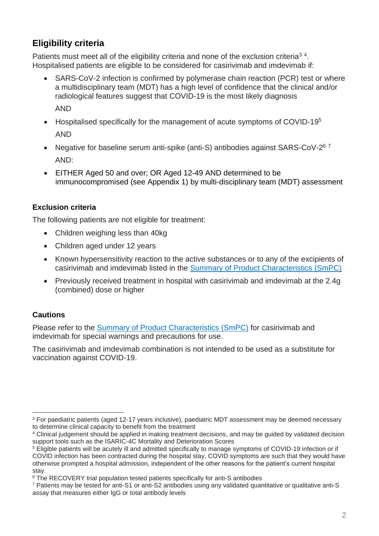# **Eligibility criteria**

Patients must meet all of the eligibility criteria and none of the exclusion criteria<sup>34</sup>. Hospitalised patients are eligible to be considered for casirivimab and imdevimab if:

- SARS-CoV-2 infection is confirmed by polymerase chain reaction (PCR) test or where a multidisciplinary team (MDT) has a high level of confidence that the clinical and/or radiological features suggest that COVID-19 is the most likely diagnosis AND
- Hospitalised specifically for the management of acute symptoms of COVID-19<sup>5</sup> AND
- Negative for baseline serum anti-spike (anti-S) antibodies against SARS-CoV-2<sup>67</sup> AND:
- EITHER Aged 50 and over; OR Aged 12-49 AND determined to be immunocompromised (see Appendix 1) by multi-disciplinary team (MDT) assessment

#### **Exclusion criteria**

The following patients are not eligible for treatment:

- Children weighing less than 40kg
- Children aged under 12 years
- Known hypersensitivity reaction to the active substances or to any of the excipients of casirivimab and imdevimab listed in the [Summary of Product Characteristics \(SmPC\)](https://assets.publishing.service.gov.uk/government/uploads/system/uploads/attachment_data/file/1012415/revised-gb-spc-ronapreve-clean-120mg-ml12aug2021docx.pdf)
- Previously received treatment in hospital with casirivimab and imdevimab at the 2.4g (combined) dose or higher

# **Cautions**

Please refer to the [Summary of Product Characteristics \(SmPC\)](https://assets.publishing.service.gov.uk/government/uploads/system/uploads/attachment_data/file/1012415/revised-gb-spc-ronapreve-clean-120mg-ml12aug2021docx.pdf) for casirivimab and imdevimab for special warnings and precautions for use.

The casirivimab and imdevimab combination is not intended to be used as a substitute for vaccination against COVID-19.

<sup>3</sup> For paediatric patients (aged 12-17 years inclusive), paediatric MDT assessment may be deemed necessary to determine clinical capacity to benefit from the treatment

<sup>4</sup> Clinical judgement should be applied in making treatment decisions, and may be guided by validated decision support tools such as the ISARIC-4C Mortality and Deterioration Scores

<sup>5</sup> Eligible patients will be acutely ill and admitted specifically to manage symptoms of COVID-19 infection or if COVID infection has been contracted during the hospital stay, COVID symptoms are such that they would have otherwise prompted a hospital admission, independent of the other reasons for the patient's current hospital stay.

<sup>&</sup>lt;sup>6</sup> The RECOVERY trial population tested patients specifically for anti-S antibodies

<sup>7</sup> Patients may be tested for anti-S1 or anti-S2 antibodies using any validated quantitative or qualitative anti-S assay that measures either IgG or total antibody levels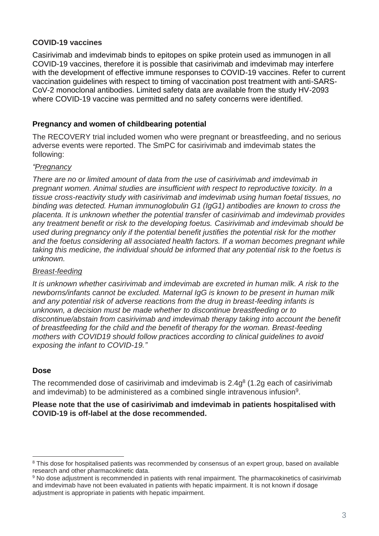#### **COVID-19 vaccines**

Casirivimab and imdevimab binds to epitopes on spike protein used as immunogen in all COVID-19 vaccines, therefore it is possible that casirivimab and imdevimab may interfere with the development of effective immune responses to COVID-19 vaccines. Refer to current vaccination guidelines with respect to timing of vaccination post treatment with anti-SARS-CoV-2 monoclonal antibodies. Limited safety data are available from the study HV-2093 where COVID-19 vaccine was permitted and no safety concerns were identified.

#### **Pregnancy and women of childbearing potential**

The RECOVERY trial included women who were pregnant or breastfeeding, and no serious adverse events were reported. The SmPC for casirivimab and imdevimab states the following:

#### *"Pregnancy*

*There are no or limited amount of data from the use of casirivimab and imdevimab in pregnant women. Animal studies are insufficient with respect to reproductive toxicity. In a tissue cross-reactivity study with casirivimab and imdevimab using human foetal tissues, no binding was detected. Human immunoglobulin G1 (IgG1) antibodies are known to cross the placenta. It is unknown whether the potential transfer of casirivimab and imdevimab provides any treatment benefit or risk to the developing foetus. Casirivimab and imdevimab should be used during pregnancy only if the potential benefit justifies the potential risk for the mother and the foetus considering all associated health factors. If a woman becomes pregnant while taking this medicine, the individual should be informed that any potential risk to the foetus is unknown.*

#### *Breast-feeding*

*It is unknown whether casirivimab and imdevimab are excreted in human milk. A risk to the newborns/infants cannot be excluded. Maternal IgG is known to be present in human milk and any potential risk of adverse reactions from the drug in breast-feeding infants is unknown, a decision must be made whether to discontinue breastfeeding or to discontinue/abstain from casirivimab and imdevimab therapy taking into account the benefit of breastfeeding for the child and the benefit of therapy for the woman. Breast-feeding mothers with COVID19 should follow practices according to clinical guidelines to avoid exposing the infant to COVID-19."*

#### **Dose**

The recommended dose of casirivimab and imdevimab is  $2.4g<sup>8</sup>$  (1.2g each of casirivimab and imdevimab) to be administered as a combined single intravenous infusion<sup>9</sup>.

**Please note that the use of casirivimab and imdevimab in patients hospitalised with COVID-19 is off-label at the dose recommended.**

<sup>&</sup>lt;sup>8</sup> This dose for hospitalised patients was recommended by consensus of an expert group, based on available research and other pharmacokinetic data.

<sup>9</sup> No dose adjustment is recommended in patients with renal impairment. The pharmacokinetics of casirivimab and imdevimab have not been evaluated in patients with hepatic impairment. It is not known if dosage adjustment is appropriate in patients with hepatic impairment.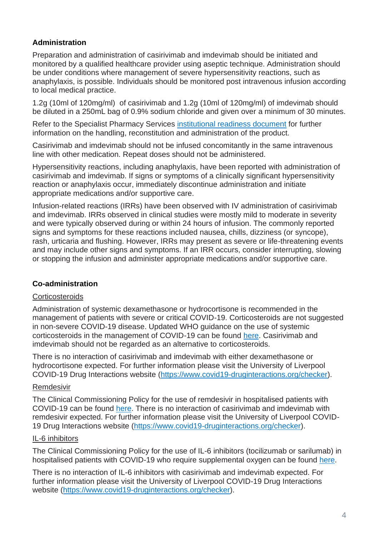#### **Administration**

Preparation and administration of casirivimab and imdevimab should be initiated and monitored by a qualified healthcare provider using aseptic technique. Administration should be under conditions where management of severe hypersensitivity reactions, such as anaphylaxis, is possible. Individuals should be monitored post intravenous infusion according to local medical practice.

1.2g (10ml of 120mg/ml) of casirivimab and 1.2g (10ml of 120mg/ml) of imdevimab should be diluted in a 250mL bag of 0.9% sodium chloride and given over a minimum of 30 minutes.

Refer to the Specialist Pharmacy Services [institutional readiness document](https://www.sps.nhs.uk/home/guidance/covid-19-treatments/neutralising-monoclonal-antibodies/casirivimab-and-imdevimab) for further information on the handling, reconstitution and administration of the product.

Casirivimab and imdevimab should not be infused concomitantly in the same intravenous line with other medication. Repeat doses should not be administered.

Hypersensitivity reactions, including anaphylaxis, have been reported with administration of casirivimab and imdevimab. If signs or symptoms of a clinically significant hypersensitivity reaction or anaphylaxis occur, immediately discontinue administration and initiate appropriate medications and/or supportive care.

Infusion-related reactions (IRRs) have been observed with IV administration of casirivimab and imdevimab. IRRs observed in clinical studies were mostly mild to moderate in severity and were typically observed during or within 24 hours of infusion. The commonly reported signs and symptoms for these reactions included nausea, chills, dizziness (or syncope), rash, urticaria and flushing. However, IRRs may present as severe or life-threatening events and may include other signs and symptoms. If an IRR occurs, consider interrupting, slowing or stopping the infusion and administer appropriate medications and/or supportive care.

#### **Co-administration**

#### **Corticosteroids**

Administration of systemic dexamethasone or hydrocortisone is recommended in the management of patients with severe or critical COVID-19. Corticosteroids are not suggested in non-severe COVID-19 disease. Updated WHO guidance on the use of systemic corticosteroids in the management of COVID-19 can be found [here.](https://www.who.int/publications/i/item/WHO-2019-nCoV-Corticosteroids-2020.1) Casirivimab and imdevimab should not be regarded as an alternative to corticosteroids.

There is no interaction of casirivimab and imdevimab with either dexamethasone or hydrocortisone expected. For further information please visit the University of Liverpool COVID-19 Drug Interactions website [\(https://www.covid19-druginteractions.org/checker\)](https://www.covid19-druginteractions.org/checker).

#### Remdesivir

The Clinical Commissioning Policy for the use of remdesivir in hospitalised patients with COVID-19 can be found [here.](https://www.england.nhs.uk/coronavirus/wp-content/uploads/sites/52/2020/07/C1322-interim-cc-policy-remdesivir-for-people-hospitalised-with-covid-19-v3.pdf) There is no interaction of casirivimab and imdevimab with remdesivir expected. For further information please visit the University of Liverpool COVID-19 Drug Interactions website [\(https://www.covid19-druginteractions.org/checker\)](https://www.covid19-druginteractions.org/checker).

#### IL-6 inhibitors

The Clinical Commissioning Policy for the use of IL-6 inhibitors (tocilizumab or sarilumab) in hospitalised patients with COVID-19 who require supplemental oxygen can be found [here.](https://www.cas.mhra.gov.uk/ViewandAcknowledgment/ViewAttachment.aspx?Attachment_id=103833)

There is no interaction of IL-6 inhibitors with casirivimab and imdevimab expected. For further information please visit the University of Liverpool COVID-19 Drug Interactions website [\(https://www.covid19-druginteractions.org/checker\)](https://www.covid19-druginteractions.org/checker).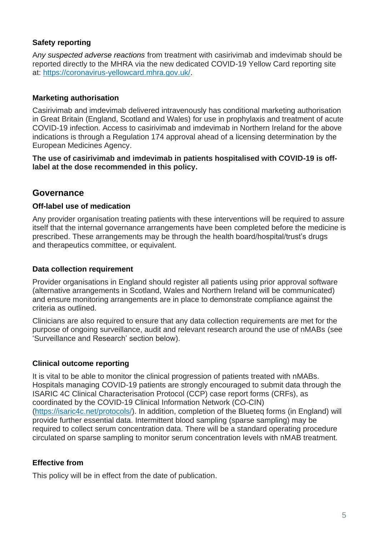#### **Safety reporting**

A*ny suspected adverse reactions* from treatment with casirivimab and imdevimab should be reported directly to the MHRA via the new dedicated COVID-19 Yellow Card reporting site at: [https://coronavirus-yellowcard.mhra.gov.uk/.](https://coronavirus-yellowcard.mhra.gov.uk/)

#### **Marketing authorisation**

Casirivimab and imdevimab delivered intravenously has conditional marketing authorisation in Great Britain (England, Scotland and Wales) for use in prophylaxis and treatment of acute COVID-19 infection. Access to casirivimab and imdevimab in Northern Ireland for the above indications is through a Regulation 174 approval ahead of a licensing determination by the European Medicines Agency.

**The use of casirivimab and imdevimab in patients hospitalised with COVID-19 is offlabel at the dose recommended in this policy.**

#### **Governance**

#### **Off-label use of medication**

Any provider organisation treating patients with these interventions will be required to assure itself that the internal governance arrangements have been completed before the medicine is prescribed. These arrangements may be through the health board/hospital/trust's drugs and therapeutics committee, or equivalent.

#### **Data collection requirement**

Provider organisations in England should register all patients using prior approval software (alternative arrangements in Scotland, Wales and Northern Ireland will be communicated) and ensure monitoring arrangements are in place to demonstrate compliance against the criteria as outlined.

Clinicians are also required to ensure that any data collection requirements are met for the purpose of ongoing surveillance, audit and relevant research around the use of nMABs (see 'Surveillance and Research' section below).

#### **Clinical outcome reporting**

It is vital to be able to monitor the clinical progression of patients treated with nMABs. Hospitals managing COVID-19 patients are strongly encouraged to submit data through the ISARIC 4C Clinical Characterisation Protocol (CCP) case report forms (CRFs), as coordinated by the COVID-19 Clinical Information Network (CO-CIN) [\(https://isaric4c.net/protocols/\)](https://isaric4c.net/protocols/). In addition, completion of the Blueteq forms (in England) will provide further essential data. Intermittent blood sampling (sparse sampling) may be required to collect serum concentration data. There will be a standard operating procedure circulated on sparse sampling to monitor serum concentration levels with nMAB treatment.

#### **Effective from**

This policy will be in effect from the date of publication.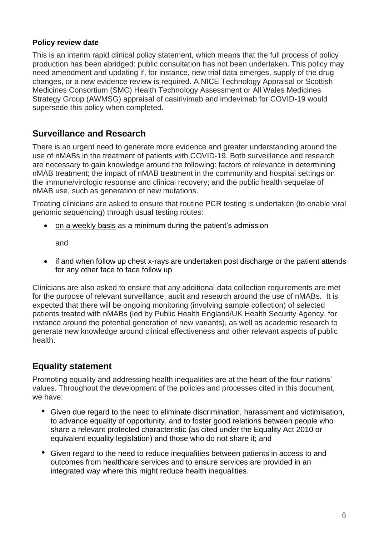#### **Policy review date**

This is an interim rapid clinical policy statement, which means that the full process of policy production has been abridged: public consultation has not been undertaken. This policy may need amendment and updating if, for instance, new trial data emerges, supply of the drug changes, or a new evidence review is required. A NICE Technology Appraisal or Scottish Medicines Consortium (SMC) Health Technology Assessment or All Wales Medicines Strategy Group (AWMSG) appraisal of casirivimab and imdevimab for COVID-19 would supersede this policy when completed.

### **Surveillance and Research**

There is an urgent need to generate more evidence and greater understanding around the use of nMABs in the treatment of patients with COVID-19. Both surveillance and research are necessary to gain knowledge around the following: factors of relevance in determining nMAB treatment; the impact of nMAB treatment in the community and hospital settings on the immune/virologic response and clinical recovery; and the public health sequelae of nMAB use, such as generation of new mutations.

Treating clinicians are asked to ensure that routine PCR testing is undertaken (to enable viral genomic sequencing) through usual testing routes:

on a weekly basis as a minimum during the patient's admission

and

• if and when follow up chest x-rays are undertaken post discharge or the patient attends for any other face to face follow up

Clinicians are also asked to ensure that any additional data collection requirements are met for the purpose of relevant surveillance, audit and research around the use of nMABs. It is expected that there will be ongoing monitoring (involving sample collection) of selected patients treated with nMABs (led by Public Health England/UK Health Security Agency, for instance around the potential generation of new variants), as well as academic research to generate new knowledge around clinical effectiveness and other relevant aspects of public health.

# **Equality statement**

Promoting equality and addressing health inequalities are at the heart of the four nations' values. Throughout the development of the policies and processes cited in this document, we have:

- Given due regard to the need to eliminate discrimination, harassment and victimisation, to advance equality of opportunity, and to foster good relations between people who share a relevant protected characteristic (as cited under the Equality Act 2010 or equivalent equality legislation) and those who do not share it; and
- Given regard to the need to reduce inequalities between patients in access to and outcomes from healthcare services and to ensure services are provided in an integrated way where this might reduce health inequalities.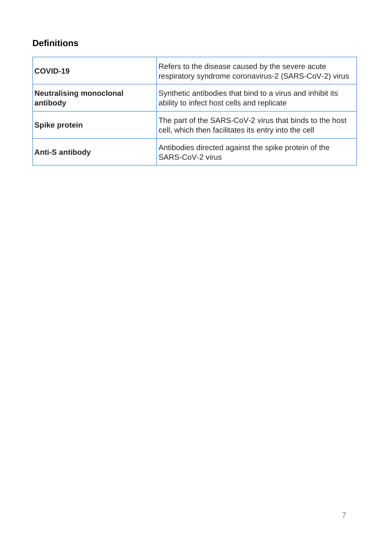# **Definitions**

| COVID-19                                   | Refers to the disease caused by the severe acute<br>respiratory syndrome coronavirus-2 (SARS-CoV-2) virus       |
|--------------------------------------------|-----------------------------------------------------------------------------------------------------------------|
| <b>Neutralising monoclonal</b><br>antibody | Synthetic antibodies that bind to a virus and inhibit its<br>ability to infect host cells and replicate         |
| Spike protein                              | The part of the SARS-CoV-2 virus that binds to the host<br>cell, which then facilitates its entry into the cell |
| <b>Anti-S antibody</b>                     | Antibodies directed against the spike protein of the<br>SARS-CoV-2 virus                                        |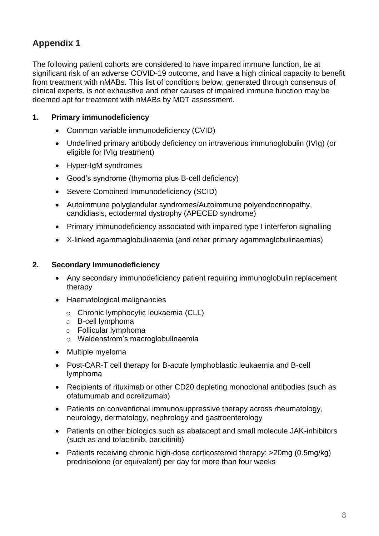# **Appendix 1**

The following patient cohorts are considered to have impaired immune function, be at significant risk of an adverse COVID-19 outcome, and have a high clinical capacity to benefit from treatment with nMABs. This list of conditions below, generated through consensus of clinical experts, is not exhaustive and other causes of impaired immune function may be deemed apt for treatment with nMABs by MDT assessment.

#### **1. Primary immunodeficiency**

- Common variable immunodeficiency (CVID)
- Undefined primary antibody deficiency on intravenous immunoglobulin (IVIg) (or eligible for IVIg treatment)
- Hyper-IgM syndromes
- Good's syndrome (thymoma plus B-cell deficiency)
- Severe Combined Immunodeficiency (SCID)
- Autoimmune polyglandular syndromes/Autoimmune polyendocrinopathy, candidiasis, ectodermal dystrophy (APECED syndrome)
- Primary immunodeficiency associated with impaired type I interferon signalling
- X-linked agammaglobulinaemia (and other primary agammaglobulinaemias)

#### **2. Secondary Immunodeficiency**

- Any secondary immunodeficiency patient requiring immunoglobulin replacement therapy
- Haematological malignancies
	- o Chronic lymphocytic leukaemia (CLL)
	- o B-cell lymphoma
	- o Follicular lymphoma
	- o Waldenstrom's macroglobulinaemia
- Multiple myeloma
- Post-CAR-T cell therapy for B-acute lymphoblastic leukaemia and B-cell lymphoma
- Recipients of rituximab or other CD20 depleting monoclonal antibodies (such as ofatumumab and ocrelizumab)
- Patients on conventional immunosuppressive therapy across rheumatology, neurology, dermatology, nephrology and gastroenterology
- Patients on other biologics such as abatacept and small molecule JAK-inhibitors (such as and tofacitinib, baricitinib)
- Patients receiving chronic high-dose corticosteroid therapy: >20mg (0.5mg/kg) prednisolone (or equivalent) per day for more than four weeks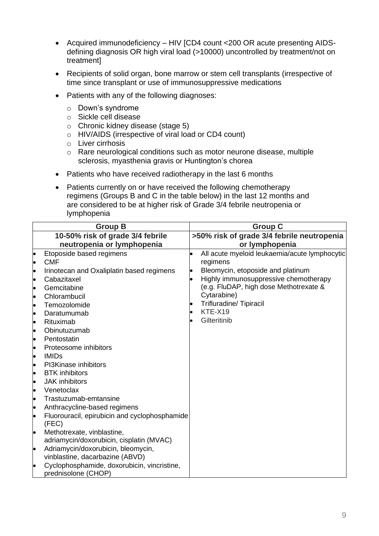- Acquired immunodeficiency HIV [CD4 count <200 OR acute presenting AIDSdefining diagnosis OR high viral load (>10000) uncontrolled by treatment/not on treatment]
- Recipients of solid organ, bone marrow or stem cell transplants (irrespective of time since transplant or use of immunosuppressive medications
- Patients with any of the following diagnoses:
	- o Down's syndrome
	- o Sickle cell disease
	- o Chronic kidney disease (stage 5)
	- o HIV/AIDS (irrespective of viral load or CD4 count)
	- o Liver cirrhosis
	- o Rare neurological conditions such as motor neurone disease, multiple sclerosis, myasthenia gravis or Huntington's chorea
- Patients who have received radiotherapy in the last 6 months
- Patients currently on or have received the following chemotherapy regimens (Groups B and C in the table below) in the last 12 months and are considered to be at higher risk of Grade 3/4 febrile neutropenia or lymphopenia

| <b>Group B</b>                   |                                                                       | <b>Group C</b>                             |                                               |  |
|----------------------------------|-----------------------------------------------------------------------|--------------------------------------------|-----------------------------------------------|--|
| 10-50% risk of grade 3/4 febrile |                                                                       | >50% risk of grade 3/4 febrile neutropenia |                                               |  |
|                                  | neutropenia or lymphopenia                                            | or lymphopenia                             |                                               |  |
| þ                                | Etoposide based regimens                                              |                                            | All acute myeloid leukaemia/acute lymphocytic |  |
| l.                               | <b>CMF</b>                                                            |                                            | regimens                                      |  |
| lo                               | Irinotecan and Oxaliplatin based regimens                             |                                            | Bleomycin, etoposide and platinum             |  |
| þ                                | Cabazitaxel                                                           |                                            | Highly immunosuppressive chemotherapy         |  |
| lo                               | Gemcitabine                                                           |                                            | (e.g. FluDAP, high dose Methotrexate &        |  |
| lo                               | Chlorambucil                                                          |                                            | Cytarabine)                                   |  |
| .                                | Temozolomide                                                          |                                            | <b>Trifluradine/ Tipiracil</b>                |  |
| þ                                | Daratumumab                                                           |                                            | KTE-X19                                       |  |
| þ                                | Rituximab                                                             |                                            | Gilteritinib                                  |  |
| þ                                | Obinutuzumab                                                          |                                            |                                               |  |
| $\bullet$                        | Pentostatin                                                           |                                            |                                               |  |
| lo                               | Proteosome inhibitors                                                 |                                            |                                               |  |
| þ                                | <b>IMIDs</b>                                                          |                                            |                                               |  |
| þ                                | PI3Kinase inhibitors                                                  |                                            |                                               |  |
| þ                                | <b>BTK</b> inhibitors                                                 |                                            |                                               |  |
| þ                                | <b>JAK</b> inhibitors                                                 |                                            |                                               |  |
| þ                                | Venetoclax                                                            |                                            |                                               |  |
| l.                               | Trastuzumab-emtansine                                                 |                                            |                                               |  |
| .                                | Anthracycline-based regimens                                          |                                            |                                               |  |
| þ                                | Fluorouracil, epirubicin and cyclophosphamide                         |                                            |                                               |  |
|                                  | (FEC)                                                                 |                                            |                                               |  |
| $\bullet$                        | Methotrexate, vinblastine,                                            |                                            |                                               |  |
|                                  | adriamycin/doxorubicin, cisplatin (MVAC)                              |                                            |                                               |  |
| $\bullet$                        | Adriamycin/doxorubicin, bleomycin,<br>vinblastine, dacarbazine (ABVD) |                                            |                                               |  |
| $\bullet$                        | Cyclophosphamide, doxorubicin, vincristine,                           |                                            |                                               |  |
|                                  | prednisolone (CHOP)                                                   |                                            |                                               |  |